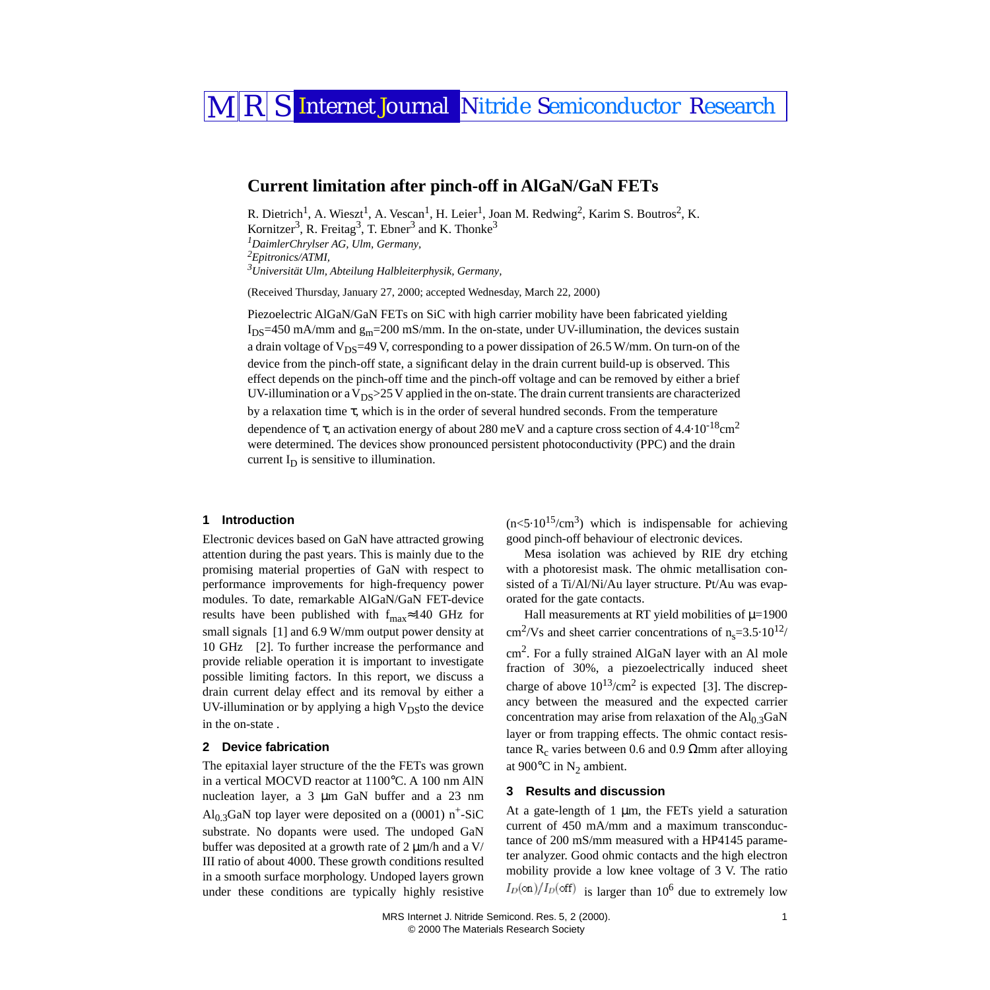# MRS Internet Journal Nitride Semiconductor Research

## **Current limitation after pinch-off in AlGaN/GaN FETs**

<span id="page-0-0"></span>R. Dietrich<sup>1</sup>, A. Wieszt<sup>1</sup>, A. Vescan<sup>1</sup>, H. Leier<sup>1</sup>, Joan M. Redwing<sup>2</sup>, Karim S. Boutros<sup>2</sup>, K. Kornitzer<sup>3</sup>, R. Freitag<sup>3</sup>, T. Ebner<sup>3</sup> and K. Thonke<sup>3</sup> *1 DaimlerChrylser AG, Ulm, Germany, 2 Epitronics/ATMI, 3 Universität Ulm, Abteilung Halbleiterphysik, Germany,* 

<span id="page-0-2"></span><span id="page-0-1"></span>(Received Thursday, January 27, 2000; accepted Wednesday, March 22, 2000)

Piezoelectric AlGaN/GaN FETs on SiC with high carrier mobility have been fabricated yielding  $I_{DS}$ =450 mA/mm and  $g_{m}$ =200 mS/mm. In the on-state, under UV-illumination, the devices sustain a drain voltage of  $V_{DS}$ =49 V, corresponding to a power dissipation of 26.5 W/mm. On turn-on of the device from the pinch-off state, a significant delay in the drain current build-up is observed. This effect depends on the pinch-off time and the pinch-off voltage and can be removed by either a brief UV-illumination or a  $V_{DS} > 25$  V applied in the on-state. The drain current transients are characterized by a relaxation time τ, which is in the order of several hundred seconds. From the temperature dependence of  $\tau$ , an activation energy of about 280 meV and a capture cross section of 4.4·10<sup>-18</sup>cm<sup>2</sup> were determined. The devices show pronounced persistent photoconductivity (PPC) and the drain current  $I_D$  is sensitive to illumination.

#### **1 Introduction**

Electronic devices based on GaN have attracted growing attention during the past years. This is mainly due to the promising material properties of GaN with respect to performance improvements for high-frequency power modules. To date, remarkable AlGaN/GaN FET-device results have been published with  $f_{max}$ ≈140 GHz for small signals [\[1\]](#page-2-0) and 6.9 W/mm output power density at 10 GHz [\[2\]](#page-2-1). To further increase the performance and provide reliable operation it is important to investigate possible limiting factors. In this report, we discuss a drain current delay effect and its removal by either a UV-illumination or by applying a high  $V_{DS}$ to the device in the on-state .

#### **2 Device fabrication**

The epitaxial layer structure of the the FETs was grown in a vertical MOCVD reactor at 1100°C. A 100 nm AlN nucleation layer, a 3 µm GaN buffer and a 23 nm Al<sub>0.3</sub>GaN top layer were deposited on a (0001) n<sup>+</sup>-SiC substrate. No dopants were used. The undoped GaN buffer was deposited at a growth rate of  $2 \mu m/h$  and a V/ III ratio of about 4000. These growth conditions resulted in a smooth surface morphology. Undoped layers grown under these conditions are typically highly resistive  $(n<5.10^{15}/cm^3)$  which is indispensable for achieving good pinch-off behaviour of electronic devices.

Mesa isolation was achieved by RIE dry etching with a photoresist mask. The ohmic metallisation consisted of a Ti/Al/Ni/Au layer structure. Pt/Au was evaporated for the gate contacts.

Hall measurements at RT yield mobilities of  $\mu$ =1900  $\text{cm}^2/\text{Vs}$  and sheet carrier concentrations of n<sub>s</sub>=3.5·10<sup>12</sup>/ cm2. For a fully strained AlGaN layer with an Al mole fraction of 30%, a piezoelectrically induced sheet charge of above  $10^{13}/\text{cm}^2$  is expected [\[3\]](#page-2-2). The discrepancy between the measured and the expected carrier concentration may arise from relaxation of the  $Al<sub>0.3</sub>GaN$ layer or from trapping effects. The ohmic contact resistance R<sub>c</sub> varies between 0.6 and 0.9 Ωmm after alloying at 900 $^{\circ}$ C in N<sub>2</sub> ambient.

#### **3 Results and discussion**

At a gate-length of  $1 \mu m$ , the FETs yield a saturation current of 450 mA/mm and a maximum transconductance of 200 mS/mm measured with a HP4145 parameter analyzer. Good ohmic contacts and the high electron mobility provide a low knee voltage of 3 V. The ratio  $I_D(\text{on})/I_D(\text{off})$  is larger than 10<sup>6</sup> due to extremely low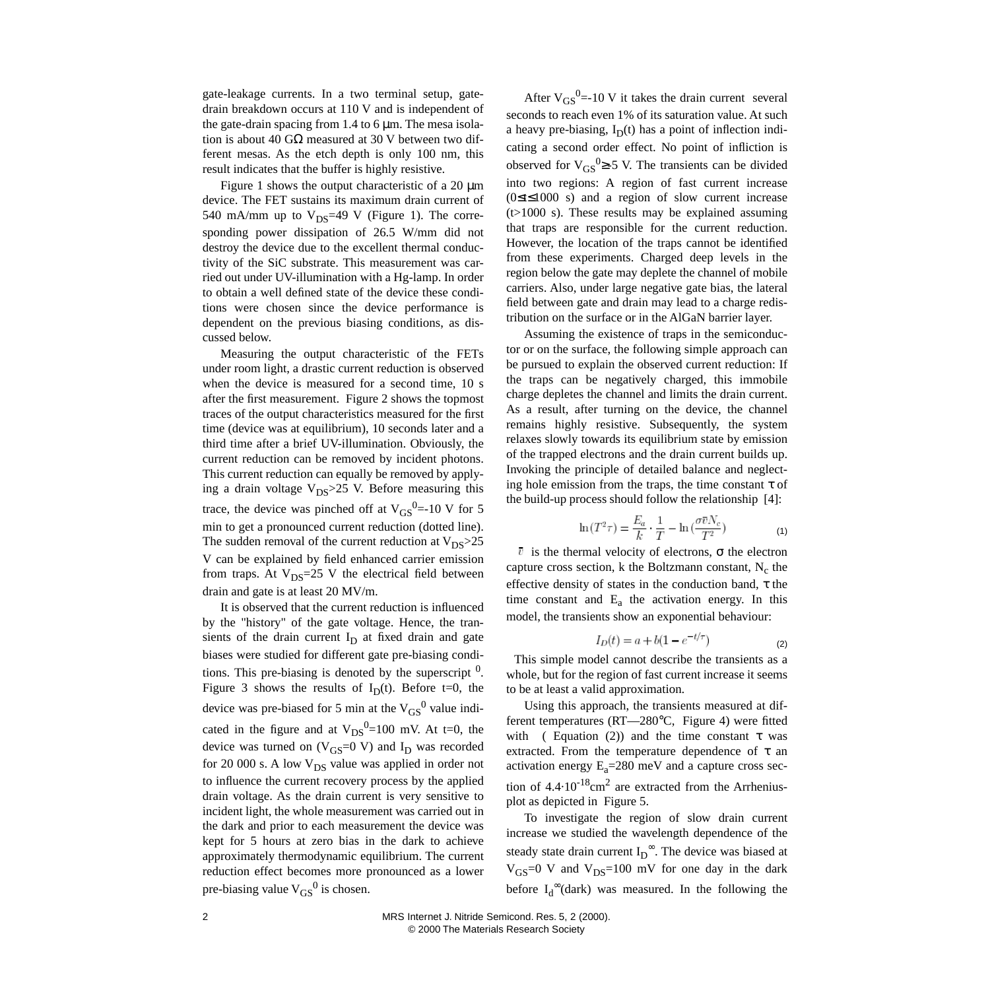gate-leakage currents. In a two terminal setup, gatedrain breakdown occurs at 110 V and is independent of the gate-drain spacing from 1.4 to  $6 \mu m$ . The mesa isolation is about 40 GΩ measured at 30 V between two different mesas. As the etch depth is only 100 nm, this result indicates that the buffer is highly resistive.

Figure [1](#page-2-3) shows the output characteristic of a 20  $\mu$ m device. The FET sustains its maximum drain current of 540 mA/mm up to  $V_{DS}$ =49 V (Figure [1](#page-2-3)). The corresponding power dissipation of 26.5 W/mm did not destroy the device due to the excellent thermal conductivity of the SiC substrate. This measurement was carried out under UV-illumination with a Hg-lamp. In order to obtain a well defined state of the device these conditions were chosen since the device performance is dependent on the previous biasing conditions, as discussed below.

Measuring the output characteristic of the FETs under room light, a drastic current reduction is observed when the device is measured for a second time, 10 s after the first measurement. Figure [2](#page-2-3) shows the topmost traces of the output characteristics measured for the first time (device was at equilibrium), 10 seconds later and a third time after a brief UV-illumination. Obviously, the current reduction can be removed by incident photons. This current reduction can equally be removed by applying a drain voltage  $V_{DS}$  > 25 V. Before measuring this trace, the device was pinched off at  $V_{GS}^{0}$ =-10 V for 5 min to get a pronounced current reduction (dotted line). The sudden removal of the current reduction at  $V_{DS} > 25$ V can be explained by field enhanced carrier emission from traps. At  $V_{DS}=25$  V the electrical field between drain and gate is at least 20 MV/m.

It is observed that the current reduction is influenced by the "history" of the gate voltage. Hence, the transients of the drain current  $I_D$  at fixed drain and gate biases were studied for different gate pre-biasing conditions. This pre-biasing is denoted by the superscript  $<sup>0</sup>$ .</sup> Figure [3](#page-2-3) shows the results of  $I_D(t)$ . Before t=0, the device was pre-biased for 5 min at the  $V_{GS}^0$  value indicated in the figure and at  $V_{DS}^0=100$  mV. At t=0, the device was turned on  $(V_{GS}=0 V)$  and  $I_D$  was recorded for 20 000 s. A low  $V_{DS}$  value was applied in order not to influence the current recovery process by the applied drain voltage. As the drain current is very sensitive to incident light, the whole measurement was carried out in the dark and prior to each measurement the device was kept for 5 hours at zero bias in the dark to achieve approximately thermodynamic equilibrium. The current reduction effect becomes more pronounced as a lower pre-biasing value  $V_{GS}^0$  is chosen.

After  $V_{GS}^0$  = 10 V it takes the drain current several seconds to reach even 1% of its saturation value. At such a heavy pre-biasing,  $I_D(t)$  has a point of inflection indicating a second order effect. No point of infliction is observed for  $V_{GS}^0 \geq -5$  V. The transients can be divided into two regions: A region of fast current increase (0≤t≤1000 s) and a region of slow current increase  $(t>1000 \text{ s})$ . These results may be explained assuming that traps are responsible for the current reduction. However, the location of the traps cannot be identified from these experiments. Charged deep levels in the region below the gate may deplete the channel of mobile carriers. Also, under large negative gate bias, the lateral field between gate and drain may lead to a charge redistribution on the surface or in the AlGaN barrier layer.

Assuming the existence of traps in the semiconductor or on the surface, the following simple approach can be pursued to explain the observed current reduction: If the traps can be negatively charged, this immobile charge depletes the channel and limits the drain current. As a result, after turning on the device, the channel remains highly resistive. Subsequently, the system relaxes slowly towards its equilibrium state by emission of the trapped electrons and the drain current builds up. Invoking the principle of detailed balance and neglecting hole emission from the traps, the time constant  $\tau$  of the build-up process should follow the relationship [\[4\]:](#page-2-4)

$$
\ln(T^2 \tau) = \frac{E_a}{k} \cdot \frac{1}{T} - \ln\left(\frac{\sigma \overline{v} N_c}{T^2}\right) \tag{1}
$$

 $\overline{v}$  is the thermal velocity of electrons, σ the electron capture cross section, k the Boltzmann constant,  $N_c$  the effective density of states in the conduction band, τ the time constant and  $E_a$  the activation energy. In this model, the transients show an exponential behaviour:

$$
I_D(t) = a + b(1 - e^{-t/\tau})
$$
 (2)

<span id="page-1-0"></span> This simple model cannot describe the transients as a whole, but for the region of fast current increase it seems to be at least a valid approximation.

Using this approach, the transients measured at different temperatures (RT—280°C, Figure [4](#page-2-3)) were fitted with ( Equation [\(2\)\)](#page-1-0) and the time constant  $\tau$  was extracted. From the temperature dependence of  $\tau$  an activation energy  $E_a = 280$  meV and a capture cross section of  $4.4 \cdot 10^{-18}$ cm<sup>2</sup> are extracted from the Arrheniusplot as depicted in Figure [5.](#page-2-3)

To investigate the region of slow drain current increase we studied the wavelength dependence of the steady state drain current  $I_D^{\infty}$ . The device was biased at  $V_{GS}=0$  V and  $V_{DS}=100$  mV for one day in the dark before  $I_d^{\infty}$ (dark) was measured. In the following the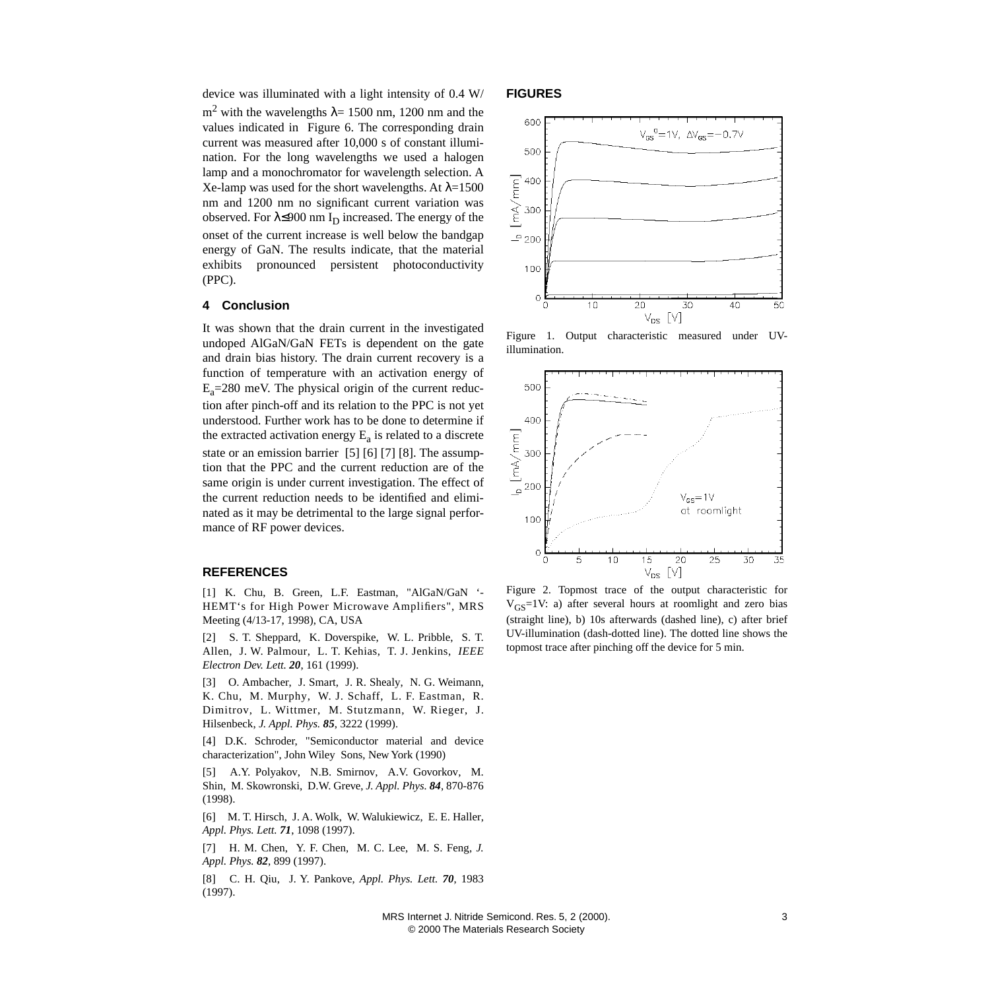device was illuminated with a light intensity of 0.4 W/ m<sup>2</sup> with the wavelengths  $\lambda$  = 1500 nm, 1200 nm and the values indicated in Figure [6.](#page-2-3) The corresponding drain current was measured after 10,000 s of constant illumination. For the long wavelengths we used a halogen lamp and a monochromator for wavelength selection. A Xe-lamp was used for the short wavelengths. At  $λ=1500$ nm and 1200 nm no significant current variation was observed. For  $\lambda \leq 900$  nm I<sub>D</sub> increased. The energy of the onset of the current increase is well below the bandgap energy of GaN. The results indicate, that the material exhibits pronounced persistent photoconductivity (PPC).

#### **4 Conclusion**

It was shown that the drain current in the investigated undoped AlGaN/GaN FETs is dependent on the gate and drain bias history. The drain current recovery is a function of temperature with an activation energy of  $E_a = 280$  meV. The physical origin of the current reduction after pinch-off and its relation to the PPC is not yet understood. Further work has to be done to determine if the extracted activation energy  $E_a$  is related to a discrete state or an emission barrier [\[5\]](#page-2-5) [\[6\]](#page-2-6) [\[7\]](#page-2-7) [\[8\].](#page-2-8) The assumption that the PPC and the current reduction are of the same origin is under current investigation. The effect of the current reduction needs to be identified and eliminated as it may be detrimental to the large signal performance of RF power devices.

### **REFERENCES**

<span id="page-2-0"></span>[1] K. Chu, B. Green, L.F. Eastman, "AlGaN/GaN '- HEMT's for High Power Microwave Amplifiers", MRS Meeting (4/13-17, 1998), CA, USA

<span id="page-2-1"></span>[2] S. T. Sheppard, K. Doverspike, W. L. Pribble, S. T. Allen, J. W. Palmour, L. T. Kehias, T. J. Jenkins, *IEEE Electron Dev. Lett. 20*, 161 (1999).

<span id="page-2-2"></span>[3] O. Ambacher, J. Smart, J. R. Shealy, N. G. Weimann, K. Chu, M. Murphy, W. J. Schaff, L. F. Eastman, R. Dimitrov, L. Wittmer, M. Stutzmann, W. Rieger, J. Hilsenbeck, *J. Appl. Phys. 85*, 3222 (1999).

<span id="page-2-4"></span>[4] D.K. Schroder, "Semiconductor material and device characterization", John Wiley Sons, New York (1990)

<span id="page-2-5"></span>[5] A.Y. Polyakov, N.B. Smirnov, A.V. Govorkov, M. Shin, M. Skowronski, D.W. Greve, *J. Appl. Phys. 84*, 870-876 (1998).

<span id="page-2-6"></span>[6] M. T. Hirsch, J. A. Wolk, W. Walukiewicz, E. E. Haller, *Appl. Phys. Lett. 71*, 1098 (1997).

<span id="page-2-7"></span>[7] H. M. Chen, Y. F. Chen, M. C. Lee, M. S. Feng, *J. Appl. Phys. 82*, 899 (1997).

<span id="page-2-8"></span>[8] C. H. Qiu, J. Y. Pankove, *Appl. Phys. Lett. 70*, 1983 (1997).

#### <span id="page-2-3"></span>**FIGURES**



Figure 1. Output characteristic measured under UVillumination.



Figure 2. Topmost trace of the output characteristic for  $V_{GS}$ =1V: a) after several hours at roomlight and zero bias (straight line), b) 10s afterwards (dashed line), c) after brief UV-illumination (dash-dotted line). The dotted line shows the topmost trace after pinching off the device for 5 min.